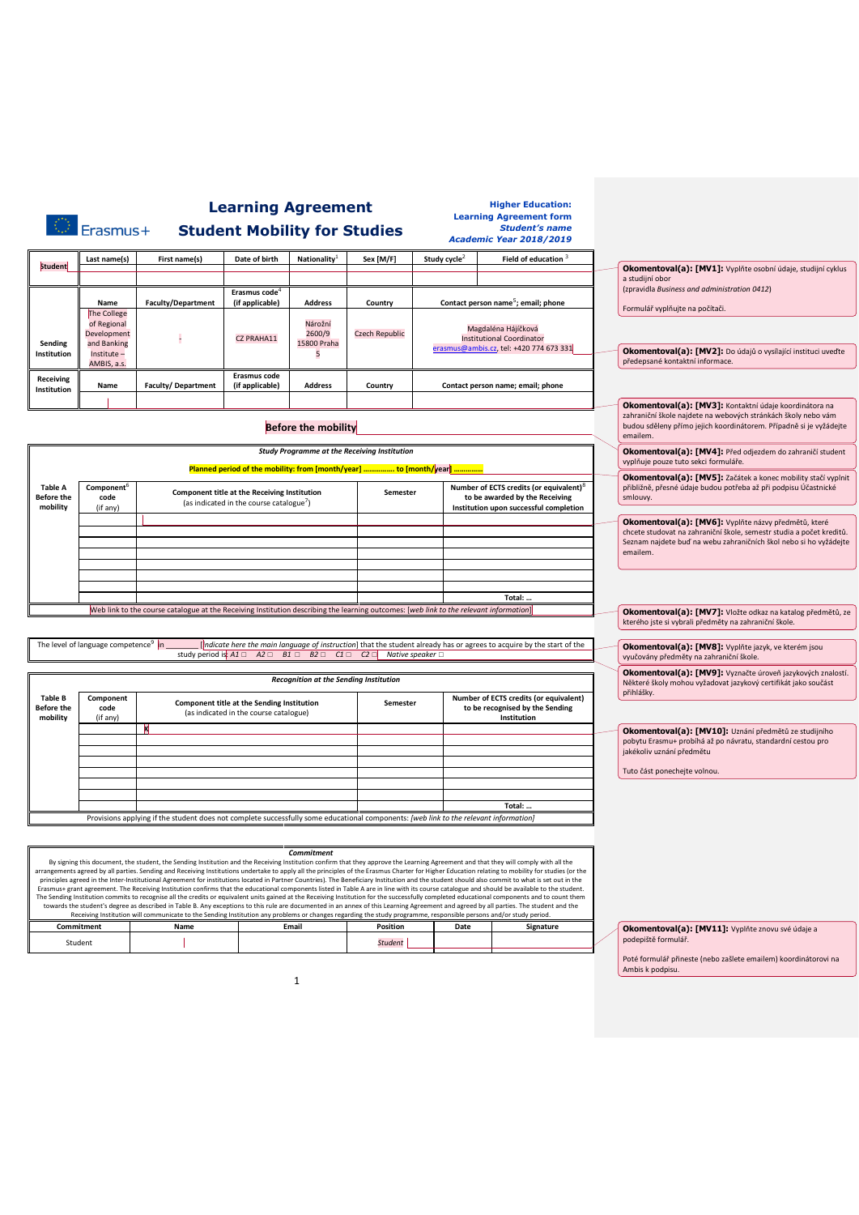|                                                                                                                                                                                                                                                                                                                                                                                                                                                                                                                                                                                                                                                                                                                                                                                                                                                                                                                                                                                                                                                                                                                                                                                                                                                                                                                                                                           | Erasmus+                                                               |                                                                                                                                        | <b>Learning Agreement</b><br><b>Student Mobility for Studies</b>                                     |                                               |                                                                                                                         |                                            |  | <b>Higher Education:</b><br><b>Learning Agreement form</b><br><b>Student's name</b><br><b>Academic Year 2018/2019</b>           |                                                                                                                                                                                                               |
|---------------------------------------------------------------------------------------------------------------------------------------------------------------------------------------------------------------------------------------------------------------------------------------------------------------------------------------------------------------------------------------------------------------------------------------------------------------------------------------------------------------------------------------------------------------------------------------------------------------------------------------------------------------------------------------------------------------------------------------------------------------------------------------------------------------------------------------------------------------------------------------------------------------------------------------------------------------------------------------------------------------------------------------------------------------------------------------------------------------------------------------------------------------------------------------------------------------------------------------------------------------------------------------------------------------------------------------------------------------------------|------------------------------------------------------------------------|----------------------------------------------------------------------------------------------------------------------------------------|------------------------------------------------------------------------------------------------------|-----------------------------------------------|-------------------------------------------------------------------------------------------------------------------------|--------------------------------------------|--|---------------------------------------------------------------------------------------------------------------------------------|---------------------------------------------------------------------------------------------------------------------------------------------------------------------------------------------------------------|
|                                                                                                                                                                                                                                                                                                                                                                                                                                                                                                                                                                                                                                                                                                                                                                                                                                                                                                                                                                                                                                                                                                                                                                                                                                                                                                                                                                           | Last name(s)                                                           | First name(s)                                                                                                                          | Date of birth                                                                                        | Nationality <sup>1</sup>                      | Sex [M/F]                                                                                                               | Study cycle <sup><math>\angle</math></sup> |  | Field of education <sup>3</sup>                                                                                                 |                                                                                                                                                                                                               |
| <b>Student</b>                                                                                                                                                                                                                                                                                                                                                                                                                                                                                                                                                                                                                                                                                                                                                                                                                                                                                                                                                                                                                                                                                                                                                                                                                                                                                                                                                            |                                                                        |                                                                                                                                        |                                                                                                      |                                               |                                                                                                                         |                                            |  |                                                                                                                                 | Okomentoval(a): [MV1]: Vyplňte osobní údaje, studijní cyklus<br>a studijní obor                                                                                                                               |
|                                                                                                                                                                                                                                                                                                                                                                                                                                                                                                                                                                                                                                                                                                                                                                                                                                                                                                                                                                                                                                                                                                                                                                                                                                                                                                                                                                           | Name                                                                   | <b>Faculty/Department</b>                                                                                                              | Erasmus code <sup>4</sup><br>(if applicable)                                                         | <b>Address</b>                                | Country                                                                                                                 |                                            |  | Contact person name <sup>5</sup> ; email; phone                                                                                 | (zpravidla Business and administration 0412)                                                                                                                                                                  |
| Sending<br>Institution                                                                                                                                                                                                                                                                                                                                                                                                                                                                                                                                                                                                                                                                                                                                                                                                                                                                                                                                                                                                                                                                                                                                                                                                                                                                                                                                                    | The College<br>of Regional<br>Development<br>and Banking<br>Institute- |                                                                                                                                        | CZ PRAHA11                                                                                           | Nárožní<br>2600/9<br>15800 Praha<br>5         | <b>Czech Republic</b>                                                                                                   |                                            |  | Magdaléna Hájíčková<br><b>Institutional Coordinator</b><br>erasmus@ambis.cz, tel: +420 774 673 331                              | Formulář vyplňujte na počítači.<br>Okomentoval(a): [MV2]: Do údajů o vysílající instituci uveďte                                                                                                              |
| Receiving<br>Institution                                                                                                                                                                                                                                                                                                                                                                                                                                                                                                                                                                                                                                                                                                                                                                                                                                                                                                                                                                                                                                                                                                                                                                                                                                                                                                                                                  | AMBIS, a.s.<br>Name                                                    | <b>Faculty/Department</b>                                                                                                              | Erasmus code<br>(if applicable)                                                                      | <b>Address</b>                                | Country                                                                                                                 | Contact person name; email; phone          |  | předepsané kontaktní informace.                                                                                                 |                                                                                                                                                                                                               |
|                                                                                                                                                                                                                                                                                                                                                                                                                                                                                                                                                                                                                                                                                                                                                                                                                                                                                                                                                                                                                                                                                                                                                                                                                                                                                                                                                                           |                                                                        |                                                                                                                                        |                                                                                                      | <b>Before the mobility</b>                    |                                                                                                                         |                                            |  |                                                                                                                                 | Okomentoval(a): [MV3]: Kontaktní údaje koordinátora na<br>zahraniční škole najdete na webových stránkách školy nebo vám<br>budou sděleny přímo jejich koordinátorem. Případně si je vyžádejte<br>emailem.     |
|                                                                                                                                                                                                                                                                                                                                                                                                                                                                                                                                                                                                                                                                                                                                                                                                                                                                                                                                                                                                                                                                                                                                                                                                                                                                                                                                                                           |                                                                        |                                                                                                                                        |                                                                                                      |                                               | <b>Study Programme at the Receiving Institution</b>                                                                     |                                            |  |                                                                                                                                 | Okomentoval(a): [MV4]: Před odjezdem do zahraničí student                                                                                                                                                     |
|                                                                                                                                                                                                                                                                                                                                                                                                                                                                                                                                                                                                                                                                                                                                                                                                                                                                                                                                                                                                                                                                                                                                                                                                                                                                                                                                                                           |                                                                        |                                                                                                                                        |                                                                                                      |                                               | Planned period of the mobility: from [month/year]  to [month/year]                                                      |                                            |  |                                                                                                                                 | vyplňuje pouze tuto sekci formuláře.                                                                                                                                                                          |
| <b>Table A</b><br><b>Before the</b><br>mobility                                                                                                                                                                                                                                                                                                                                                                                                                                                                                                                                                                                                                                                                                                                                                                                                                                                                                                                                                                                                                                                                                                                                                                                                                                                                                                                           | Component <sup>6</sup><br>code<br>(if any)                             |                                                                                                                                        | Component title at the Receiving Institution<br>(as indicated in the course catalogue <sup>7</sup> ) |                                               | Semester                                                                                                                |                                            |  | Number of ECTS credits (or equivalent) <sup>8</sup><br>to be awarded by the Receiving<br>Institution upon successful completion | Okomentoval(a): [MV5]: Začátek a konec mobility stačí vyplnit<br>přibližně, přesné údaje budou potřeba až při podpisu Účastnické<br>smlouvy.                                                                  |
|                                                                                                                                                                                                                                                                                                                                                                                                                                                                                                                                                                                                                                                                                                                                                                                                                                                                                                                                                                                                                                                                                                                                                                                                                                                                                                                                                                           |                                                                        |                                                                                                                                        |                                                                                                      |                                               |                                                                                                                         |                                            |  |                                                                                                                                 | Okomentoval(a): [MV6]: Vyplňte názvy předmětů, které<br>chcete studovat na zahraniční škole, semestr studia a počet kreditů.<br>Seznam najdete buď na webu zahraničních škol nebo si ho vyžádejte<br>emailem. |
|                                                                                                                                                                                                                                                                                                                                                                                                                                                                                                                                                                                                                                                                                                                                                                                                                                                                                                                                                                                                                                                                                                                                                                                                                                                                                                                                                                           |                                                                        |                                                                                                                                        |                                                                                                      |                                               |                                                                                                                         |                                            |  |                                                                                                                                 |                                                                                                                                                                                                               |
|                                                                                                                                                                                                                                                                                                                                                                                                                                                                                                                                                                                                                                                                                                                                                                                                                                                                                                                                                                                                                                                                                                                                                                                                                                                                                                                                                                           |                                                                        |                                                                                                                                        |                                                                                                      |                                               |                                                                                                                         |                                            |  | Total: .                                                                                                                        |                                                                                                                                                                                                               |
|                                                                                                                                                                                                                                                                                                                                                                                                                                                                                                                                                                                                                                                                                                                                                                                                                                                                                                                                                                                                                                                                                                                                                                                                                                                                                                                                                                           |                                                                        | Web link to the course catalogue at the Receiving Institution describing the learning outcomes: [web link to the relevant information] |                                                                                                      |                                               |                                                                                                                         |                                            |  |                                                                                                                                 | Okomentoval(a): [MV7]: Vložte odkaz na katalog předmětů, ze                                                                                                                                                   |
|                                                                                                                                                                                                                                                                                                                                                                                                                                                                                                                                                                                                                                                                                                                                                                                                                                                                                                                                                                                                                                                                                                                                                                                                                                                                                                                                                                           |                                                                        |                                                                                                                                        |                                                                                                      |                                               |                                                                                                                         |                                            |  |                                                                                                                                 | kterého jste si vybrali předměty na zahraniční škole.                                                                                                                                                         |
|                                                                                                                                                                                                                                                                                                                                                                                                                                                                                                                                                                                                                                                                                                                                                                                                                                                                                                                                                                                                                                                                                                                                                                                                                                                                                                                                                                           | The level of language competence <sup>9</sup> in                       |                                                                                                                                        |                                                                                                      |                                               | study period is: $A1 \square$ $A2 \square$ $B1 \square$ $B2 \square$ $C1 \square$ $C2 \square$ Native speaker $\square$ |                                            |  | indicate here the main language of instruction] that the student already has or agrees to acquire by the start of the           | Okomentoval(a): [MV8]: Vyplňte jazyk, ve kterém jsou<br>vyučovány předměty na zahraniční škole.                                                                                                               |
|                                                                                                                                                                                                                                                                                                                                                                                                                                                                                                                                                                                                                                                                                                                                                                                                                                                                                                                                                                                                                                                                                                                                                                                                                                                                                                                                                                           |                                                                        |                                                                                                                                        |                                                                                                      | <b>Recognition at the Sending Institution</b> |                                                                                                                         |                                            |  |                                                                                                                                 | Okomentoval(a): [MV9]: Vyznačte úroveň jazykových znalostí.<br>Některé školy mohou vyžadovat jazykový certifikát jako součást<br>přihlášky.                                                                   |
| <b>Table B</b><br><b>Before the</b><br>mobility                                                                                                                                                                                                                                                                                                                                                                                                                                                                                                                                                                                                                                                                                                                                                                                                                                                                                                                                                                                                                                                                                                                                                                                                                                                                                                                           | Component<br>code<br>(if any)                                          |                                                                                                                                        | Component title at the Sending Institution<br>(as indicated in the course catalogue)                 |                                               | Semester                                                                                                                |                                            |  | Number of ECTS credits (or equivalent)<br>to be recognised by the Sending<br>Institution                                        |                                                                                                                                                                                                               |
|                                                                                                                                                                                                                                                                                                                                                                                                                                                                                                                                                                                                                                                                                                                                                                                                                                                                                                                                                                                                                                                                                                                                                                                                                                                                                                                                                                           |                                                                        | М                                                                                                                                      |                                                                                                      |                                               |                                                                                                                         |                                            |  |                                                                                                                                 | Okomentoval(a): [MV10]: Uznání předmětů ze studijního<br>pobytu Erasmu+ probíhá až po návratu, standardní cestou pro<br>jakékoliv uznání předmětu                                                             |
|                                                                                                                                                                                                                                                                                                                                                                                                                                                                                                                                                                                                                                                                                                                                                                                                                                                                                                                                                                                                                                                                                                                                                                                                                                                                                                                                                                           |                                                                        |                                                                                                                                        |                                                                                                      |                                               |                                                                                                                         |                                            |  |                                                                                                                                 | Tuto část ponechejte volnou.                                                                                                                                                                                  |
|                                                                                                                                                                                                                                                                                                                                                                                                                                                                                                                                                                                                                                                                                                                                                                                                                                                                                                                                                                                                                                                                                                                                                                                                                                                                                                                                                                           |                                                                        |                                                                                                                                        |                                                                                                      |                                               |                                                                                                                         |                                            |  |                                                                                                                                 |                                                                                                                                                                                                               |
|                                                                                                                                                                                                                                                                                                                                                                                                                                                                                                                                                                                                                                                                                                                                                                                                                                                                                                                                                                                                                                                                                                                                                                                                                                                                                                                                                                           |                                                                        |                                                                                                                                        |                                                                                                      |                                               |                                                                                                                         |                                            |  | Total:                                                                                                                          |                                                                                                                                                                                                               |
|                                                                                                                                                                                                                                                                                                                                                                                                                                                                                                                                                                                                                                                                                                                                                                                                                                                                                                                                                                                                                                                                                                                                                                                                                                                                                                                                                                           |                                                                        | Provisions applying if the student does not complete successfully some educational components: [web link to the relevant information]  |                                                                                                      |                                               |                                                                                                                         |                                            |  |                                                                                                                                 |                                                                                                                                                                                                               |
|                                                                                                                                                                                                                                                                                                                                                                                                                                                                                                                                                                                                                                                                                                                                                                                                                                                                                                                                                                                                                                                                                                                                                                                                                                                                                                                                                                           |                                                                        |                                                                                                                                        |                                                                                                      |                                               |                                                                                                                         |                                            |  |                                                                                                                                 |                                                                                                                                                                                                               |
| Commitment<br>By signing this document, the student, the Sending Institution and the Receiving Institution confirm that they approve the Learning Agreement and that they will comply with all the<br>arrangements agreed by all parties. Sending and Receiving Institutions undertake to apply all the principles of the Erasmus Charter for Higher Education relating to mobility for studies (or the<br>principles agreed in the Inter-Institutional Agreement for institutions located in Partner Countries). The Beneficiary Institution and the student should also commit to what is set out in the<br>Erasmus+ grant agreement. The Receiving Institution confirms that the educational components listed in Table A are in line with its course catalogue and should be available to the student.<br>The Sending Institution commits to recognise all the credits or equivalent units gained at the Receiving Institution for the successfully completed educational components and to count them<br>towards the student's degree as described in Table B. Any exceptions to this rule are documented in an annex of this Learning Agreement and agreed by all parties. The student and the<br>Receiving Institution will communicate to the Sending Institution any problems or changes regarding the study programme, responsible persons and/or study period. |                                                                        |                                                                                                                                        |                                                                                                      |                                               |                                                                                                                         |                                            |  |                                                                                                                                 |                                                                                                                                                                                                               |
|                                                                                                                                                                                                                                                                                                                                                                                                                                                                                                                                                                                                                                                                                                                                                                                                                                                                                                                                                                                                                                                                                                                                                                                                                                                                                                                                                                           | Commitment                                                             | Name                                                                                                                                   |                                                                                                      | Email                                         | Position                                                                                                                | Date                                       |  | Signature                                                                                                                       | Okomentoval(a): [MV11]: Vyplňte znovu své údaje a                                                                                                                                                             |
|                                                                                                                                                                                                                                                                                                                                                                                                                                                                                                                                                                                                                                                                                                                                                                                                                                                                                                                                                                                                                                                                                                                                                                                                                                                                                                                                                                           | Student                                                                |                                                                                                                                        |                                                                                                      |                                               | <b>Student</b>                                                                                                          |                                            |  |                                                                                                                                 | podepiště formulář.<br>Poté formulář přineste (nebo zašlete emailem) koordinátorovi na<br>Ambis k podpisu.                                                                                                    |
|                                                                                                                                                                                                                                                                                                                                                                                                                                                                                                                                                                                                                                                                                                                                                                                                                                                                                                                                                                                                                                                                                                                                                                                                                                                                                                                                                                           |                                                                        |                                                                                                                                        |                                                                                                      | 1                                             |                                                                                                                         |                                            |  |                                                                                                                                 |                                                                                                                                                                                                               |
|                                                                                                                                                                                                                                                                                                                                                                                                                                                                                                                                                                                                                                                                                                                                                                                                                                                                                                                                                                                                                                                                                                                                                                                                                                                                                                                                                                           |                                                                        |                                                                                                                                        |                                                                                                      |                                               |                                                                                                                         |                                            |  |                                                                                                                                 |                                                                                                                                                                                                               |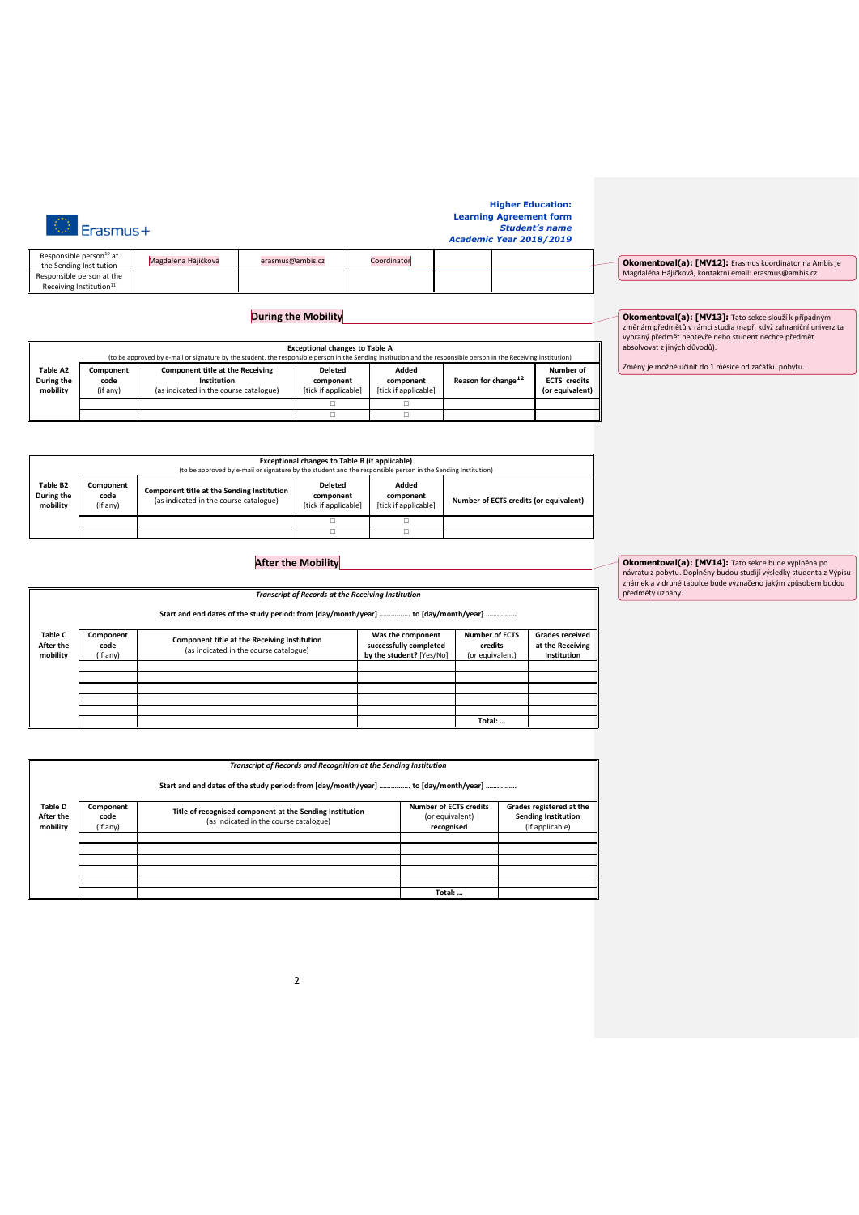**Higher Education: Learning Agreement form** *Student's name Academic Year 2018/2019*

| Responsible person <sup>10</sup> at<br>the Sending Institution | Magdaléna Hájíčková | erasmus@ambis.cz | Coordinator |  |
|----------------------------------------------------------------|---------------------|------------------|-------------|--|
|                                                                |                     |                  |             |  |
| Responsible person at the                                      |                     |                  |             |  |
| Receiving Institution <sup>11</sup>                            |                     |                  |             |  |

 $\circledcirc$  Erasmus+

## **During the Mobility**

|                                    | <b>Exceptional changes to Table A</b><br>(to be approved by e-mail or signature by the student, the responsible person in the Sending Institution and the responsible person in the Receiving Institution) |                                                                                                  |                                                     |                                            |                                 |                                                     |
|------------------------------------|------------------------------------------------------------------------------------------------------------------------------------------------------------------------------------------------------------|--------------------------------------------------------------------------------------------------|-----------------------------------------------------|--------------------------------------------|---------------------------------|-----------------------------------------------------|
| Table A2<br>During the<br>mobility | Component<br>code<br>(if any)                                                                                                                                                                              | <b>Component title at the Receiving</b><br>Institution<br>(as indicated in the course catalogue) | <b>Deleted</b><br>component<br>[tick if applicable] | Added<br>component<br>[tick if applicable] | Reason for change <sup>12</sup> | Number of<br><b>ECTS</b> credits<br>(or equivalent) |
|                                    |                                                                                                                                                                                                            |                                                                                                  |                                                     |                                            |                                 |                                                     |
|                                    |                                                                                                                                                                                                            |                                                                                                  |                                                     |                                            |                                 |                                                     |

| Okomentoval(a): [MV12]: Erasmus koordinátor na Ambis je |
|---------------------------------------------------------|
| Magdaléna Hájíčková, kontaktní email: erasmus@ambis.cz  |

**Okomentoval(a): [MV13]:** Tato sekce slouží k případným změnám předmětů v rámci studia (např. když zahraniční univerzita vybraný předmět neotevře nebo student nechce předmět absolvovat z jiných důvodů).

Změny je možné učinit do 1 měsíce od začátku pobytu.

| Exceptional changes to Table B (if applicable)<br>(to be approved by e-mail or signature by the student and the responsible person in the Sending Institution) |                               |                                                                                      |                                                     |                                            |                                        |  |
|----------------------------------------------------------------------------------------------------------------------------------------------------------------|-------------------------------|--------------------------------------------------------------------------------------|-----------------------------------------------------|--------------------------------------------|----------------------------------------|--|
| Table B2<br>During the<br>mobility                                                                                                                             | Component<br>code<br>(if any) | Component title at the Sending Institution<br>(as indicated in the course catalogue) | <b>Deleted</b><br>component<br>[tick if applicable] | Added<br>component<br>Itick if applicablel | Number of ECTS credits (or equivalent) |  |
|                                                                                                                                                                |                               |                                                                                      |                                                     |                                            |                                        |  |
|                                                                                                                                                                |                               |                                                                                      |                                                     |                                            |                                        |  |

## **After the Mobility**

|                                         | <b>Transcript of Records at the Receiving Institution</b> |                                                                                        |                                                                         |                                                     |                                                           |
|-----------------------------------------|-----------------------------------------------------------|----------------------------------------------------------------------------------------|-------------------------------------------------------------------------|-----------------------------------------------------|-----------------------------------------------------------|
|                                         |                                                           | Start and end dates of the study period: from [day/month/year]  to [day/month/year]    |                                                                         |                                                     |                                                           |
| <b>Table C</b><br>After the<br>mobility | Component<br>code<br>(if any)                             | Component title at the Receiving Institution<br>(as indicated in the course catalogue) | Was the component<br>successfully completed<br>by the student? [Yes/No] | <b>Number of ECTS</b><br>credits<br>(or equivalent) | <b>Grades received</b><br>at the Receiving<br>Institution |
|                                         |                                                           |                                                                                        |                                                                         |                                                     |                                                           |
|                                         |                                                           |                                                                                        |                                                                         |                                                     |                                                           |
|                                         |                                                           |                                                                                        |                                                                         |                                                     |                                                           |
|                                         |                                                           |                                                                                        |                                                                         |                                                     |                                                           |
|                                         |                                                           |                                                                                        |                                                                         |                                                     |                                                           |
|                                         |                                                           |                                                                                        |                                                                         | Total:                                              |                                                           |

|                                  |                               | Transcript of Records and Recognition at the Sending Institution                                   |                                                                |                                                                           |
|----------------------------------|-------------------------------|----------------------------------------------------------------------------------------------------|----------------------------------------------------------------|---------------------------------------------------------------------------|
|                                  |                               | Start and end dates of the study period: from [day/month/year]  to [day/month/year]                |                                                                |                                                                           |
| Table D<br>After the<br>mobility | Component<br>code<br>(if any) | Title of recognised component at the Sending Institution<br>(as indicated in the course catalogue) | <b>Number of ECTS credits</b><br>(or equivalent)<br>recognised | Grades registered at the<br><b>Sending Institution</b><br>(if applicable) |
|                                  |                               |                                                                                                    |                                                                |                                                                           |
|                                  |                               |                                                                                                    |                                                                |                                                                           |
|                                  |                               |                                                                                                    |                                                                |                                                                           |
|                                  |                               |                                                                                                    |                                                                |                                                                           |
|                                  |                               |                                                                                                    | Total:                                                         |                                                                           |

**Okomentoval(a): [MV14]:** Tato sekce bude vyplněna po návratu z pobytu. Doplněny budou studijí výsledky studenta z Výpisu známek a v druhé tabulce bude vyznačeno jakým způsobem budou předměty uznány.